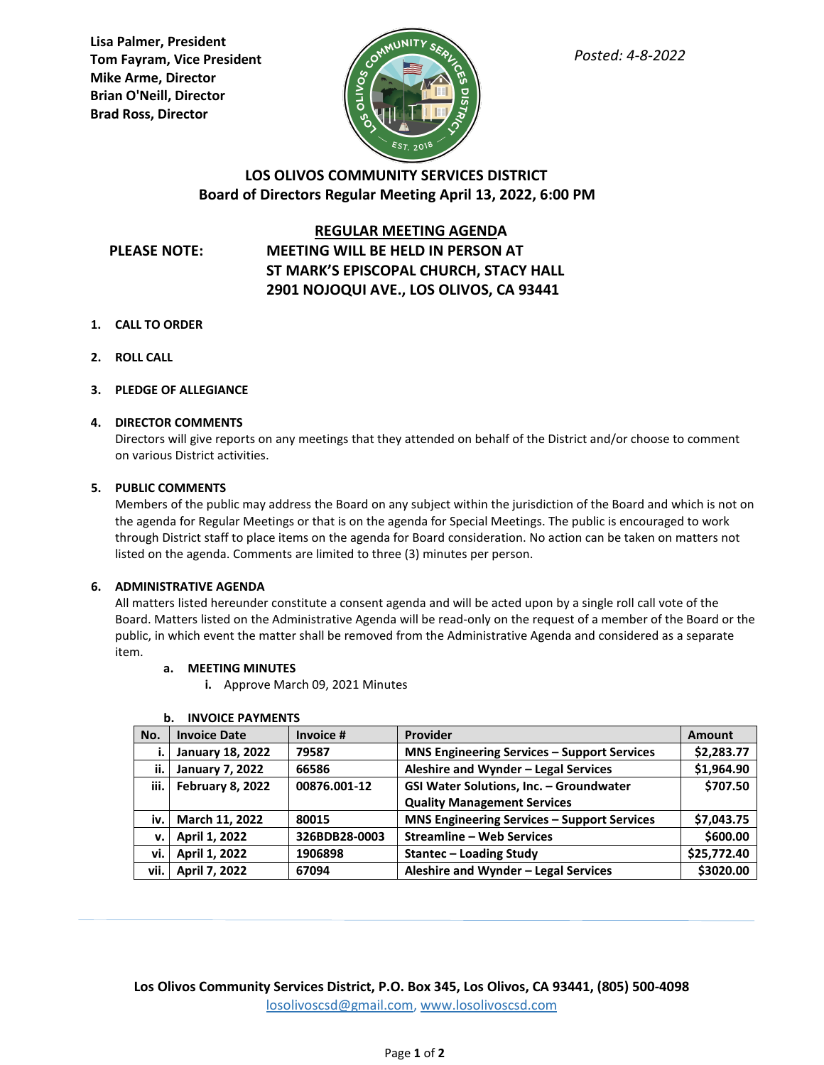**Lisa Palmer, President Tom Fayram, Vice President Mike Arme, Director Brian O'Neill, Director Brad Ross, Director**



# **LOS OLIVOS COMMUNITY SERVICES DISTRICT Board of Directors Regular Meeting April 13, 2022, 6:00 PM**

## **REGULAR MEETING AGENDA**

# **PLEASE NOTE: MEETING WILL BE HELD IN PERSON AT ST MARK'S EPISCOPAL CHURCH, STACY HALL 2901 NOJOQUI AVE., LOS OLIVOS, CA 93441**

- **1. CALL TO ORDER**
- **2. ROLL CALL**
- **3. PLEDGE OF ALLEGIANCE**

# **4. DIRECTOR COMMENTS**

Directors will give reports on any meetings that they attended on behalf of the District and/or choose to comment on various District activities.

# **5. PUBLIC COMMENTS**

Members of the public may address the Board on any subject within the jurisdiction of the Board and which is not on the agenda for Regular Meetings or that is on the agenda for Special Meetings. The public is encouraged to work through District staff to place items on the agenda for Board consideration. No action can be taken on matters not listed on the agenda. Comments are limited to three (3) minutes per person.

## **6. ADMINISTRATIVE AGENDA**

All matters listed hereunder constitute a consent agenda and will be acted upon by a single roll call vote of the Board. Matters listed on the Administrative Agenda will be read-only on the request of a member of the Board or the public, in which event the matter shall be removed from the Administrative Agenda and considered as a separate item.

## **a. MEETING MINUTES**

**i.** Approve March 09, 2021 Minutes

| No.  | <b>Invoice Date</b>     | Invoice #     | Provider                                           | <b>Amount</b> |
|------|-------------------------|---------------|----------------------------------------------------|---------------|
| ۱.   | <b>January 18, 2022</b> | 79587         | <b>MNS Engineering Services - Support Services</b> | \$2,283.77    |
| ii.  | <b>January 7, 2022</b>  | 66586         | Aleshire and Wynder - Legal Services               | \$1,964.90    |
| iii. | February 8, 2022        | 00876.001-12  | GSI Water Solutions, Inc. - Groundwater            | \$707.50      |
|      |                         |               | <b>Quality Management Services</b>                 |               |
| iv.  | March 11, 2022          | 80015         | <b>MNS Engineering Services - Support Services</b> | \$7,043.75    |
| v.   | April 1, 2022           | 326BDB28-0003 | <b>Streamline - Web Services</b>                   | \$600.00      |
| vi.  | April 1, 2022           | 1906898       | <b>Stantec – Loading Study</b>                     | \$25,772.40   |
| vii. | April 7, 2022           | 67094         | Aleshire and Wynder - Legal Services               | \$3020.00     |

## **b. INVOICE PAYMENTS**

**Los Olivos Community Services District, P.O. Box 345, Los Olivos, CA 93441, (805) 500-4098** [losolivoscsd@gmail.com,](mailto:losolivoscsd@gmail.com) [www.losolivoscsd.com](mailto:districtoffice@smvwcd.org)